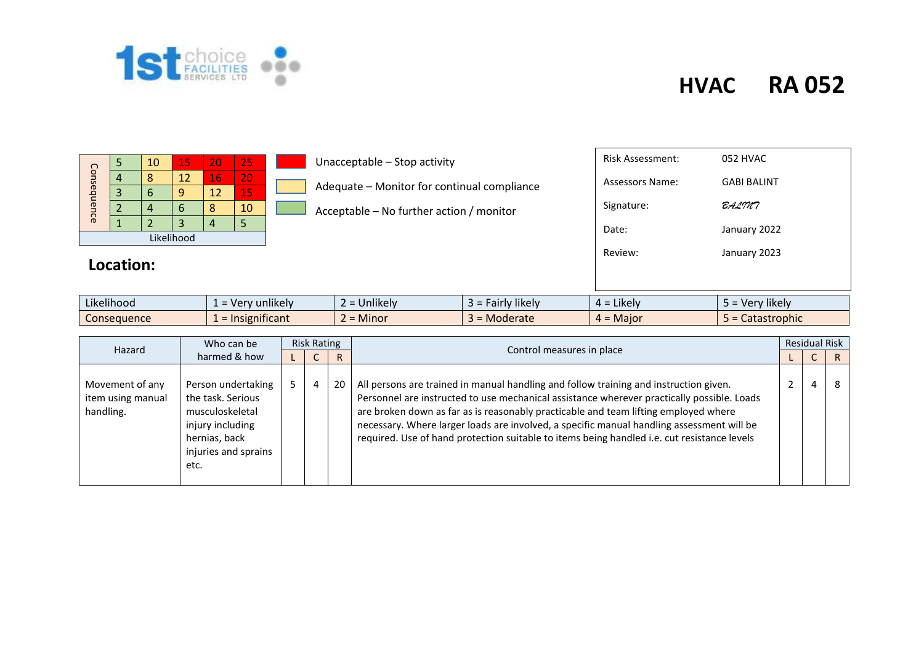

|             |  | 10 | 15 | 20 | 25 |  |  |  |  |  |
|-------------|--|----|----|----|----|--|--|--|--|--|
| Consequence |  | 12 |    | 16 | 20 |  |  |  |  |  |
|             |  |    | n  | 12 | 15 |  |  |  |  |  |
|             |  |    | h  | ႙  | 10 |  |  |  |  |  |
|             |  |    | З  |    |    |  |  |  |  |  |
| Likelihood  |  |    |    |    |    |  |  |  |  |  |

#### Unacceptable – Stop activity

Adequate – Monitor for continual compliance

Acceptable – No further action / monitor

| Review:                 | January 2023       |
|-------------------------|--------------------|
| Date:                   | January 2022       |
| Signature:              | BALMA              |
| <b>Assessors Name:</b>  | <b>GABI BALINT</b> |
| <b>Risk Assessment:</b> | 052 HVAC           |
|                         |                    |

| Likelihood  | $\cdots$<br>unlikely<br><b>v</b> er | $\cdots$<br>Jnlikely<br>$\sim$                                             | $\cdots$<br>likely<br>airly. | .ikelv<br>$\overline{\phantom{a}}$<br>$4 =$ | $\cdots$<br>likely<br>$\sim$<br>$\sim$ dv |
|-------------|-------------------------------------|----------------------------------------------------------------------------|------------------------------|---------------------------------------------|-------------------------------------------|
| Consequence | $\sim$ $\sim$ $\sim$<br>mificant.   | .<br><u>Minor.</u><br>$\overline{\phantom{0}}$<br>$\overline{\phantom{0}}$ | <b>Moderate</b>              | <b>Major</b><br>- -                         | Catastrophic                              |

| Hazard                                            | Who can be                                                                                                                      | <b>Risk Rating</b> |   |    |                                                                                                                                                                                                                                                                                                                                                                                                                                                                        |  | <b>Residual Risk</b> |   |  |  |  |
|---------------------------------------------------|---------------------------------------------------------------------------------------------------------------------------------|--------------------|---|----|------------------------------------------------------------------------------------------------------------------------------------------------------------------------------------------------------------------------------------------------------------------------------------------------------------------------------------------------------------------------------------------------------------------------------------------------------------------------|--|----------------------|---|--|--|--|
|                                                   | harmed & how                                                                                                                    |                    |   |    | Control measures in place                                                                                                                                                                                                                                                                                                                                                                                                                                              |  |                      |   |  |  |  |
| Movement of any<br>item using manual<br>handling. | Person undertaking<br>the task. Serious<br>musculoskeletal<br>injury including<br>hernias, back<br>injuries and sprains<br>etc. |                    | 4 | 20 | All persons are trained in manual handling and follow training and instruction given.<br>Personnel are instructed to use mechanical assistance wherever practically possible. Loads<br>are broken down as far as is reasonably practicable and team lifting employed where<br>necessary. Where larger loads are involved, a specific manual handling assessment will be<br>required. Use of hand protection suitable to items being handled i.e. cut resistance levels |  | 4                    | 8 |  |  |  |

#### **Location:**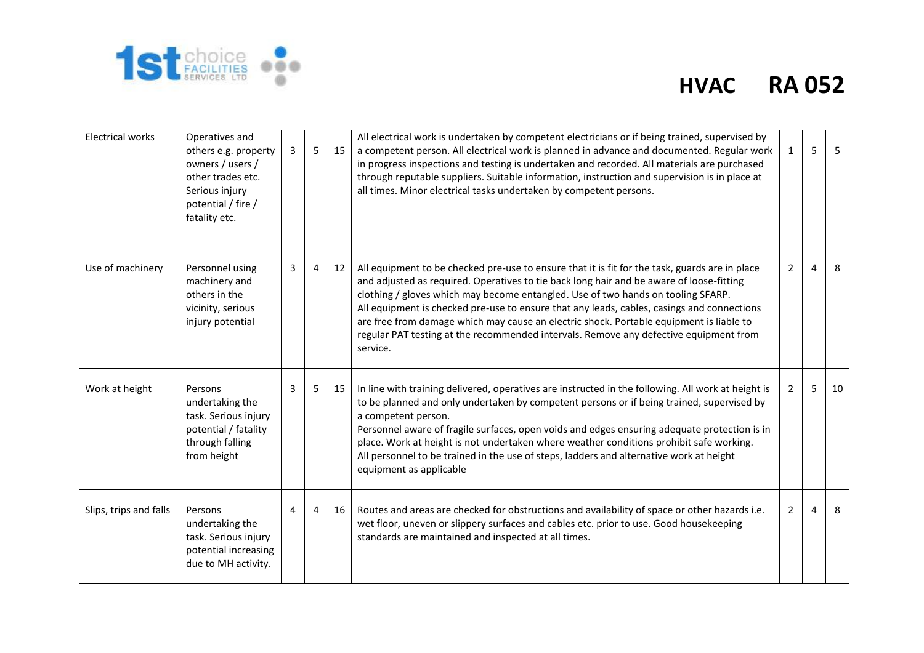

| <b>Electrical works</b> | Operatives and<br>others e.g. property<br>owners / users /<br>other trades etc.<br>Serious injury<br>potential / fire /<br>fatality etc. | 3 | 5              | 15 | All electrical work is undertaken by competent electricians or if being trained, supervised by<br>a competent person. All electrical work is planned in advance and documented. Regular work<br>in progress inspections and testing is undertaken and recorded. All materials are purchased<br>through reputable suppliers. Suitable information, instruction and supervision is in place at<br>all times. Minor electrical tasks undertaken by competent persons.                                                                                                           | 1              | 5              | 5  |
|-------------------------|------------------------------------------------------------------------------------------------------------------------------------------|---|----------------|----|------------------------------------------------------------------------------------------------------------------------------------------------------------------------------------------------------------------------------------------------------------------------------------------------------------------------------------------------------------------------------------------------------------------------------------------------------------------------------------------------------------------------------------------------------------------------------|----------------|----------------|----|
| Use of machinery        | Personnel using<br>machinery and<br>others in the<br>vicinity, serious<br>injury potential                                               | 3 | $\overline{4}$ | 12 | All equipment to be checked pre-use to ensure that it is fit for the task, guards are in place<br>and adjusted as required. Operatives to tie back long hair and be aware of loose-fitting<br>clothing / gloves which may become entangled. Use of two hands on tooling SFARP.<br>All equipment is checked pre-use to ensure that any leads, cables, casings and connections<br>are free from damage which may cause an electric shock. Portable equipment is liable to<br>regular PAT testing at the recommended intervals. Remove any defective equipment from<br>service. | $\overline{2}$ | $\overline{4}$ | 8  |
| Work at height          | Persons<br>undertaking the<br>task. Serious injury<br>potential / fatality<br>through falling<br>from height                             | 3 | 5              | 15 | In line with training delivered, operatives are instructed in the following. All work at height is<br>to be planned and only undertaken by competent persons or if being trained, supervised by<br>a competent person.<br>Personnel aware of fragile surfaces, open voids and edges ensuring adequate protection is in<br>place. Work at height is not undertaken where weather conditions prohibit safe working.<br>All personnel to be trained in the use of steps, ladders and alternative work at height<br>equipment as applicable                                      | 2              | 5              | 10 |
| Slips, trips and falls  | Persons<br>undertaking the<br>task. Serious injury<br>potential increasing<br>due to MH activity.                                        | 4 | 4              | 16 | Routes and areas are checked for obstructions and availability of space or other hazards i.e.<br>wet floor, uneven or slippery surfaces and cables etc. prior to use. Good housekeeping<br>standards are maintained and inspected at all times.                                                                                                                                                                                                                                                                                                                              | $\overline{2}$ | 4              | 8  |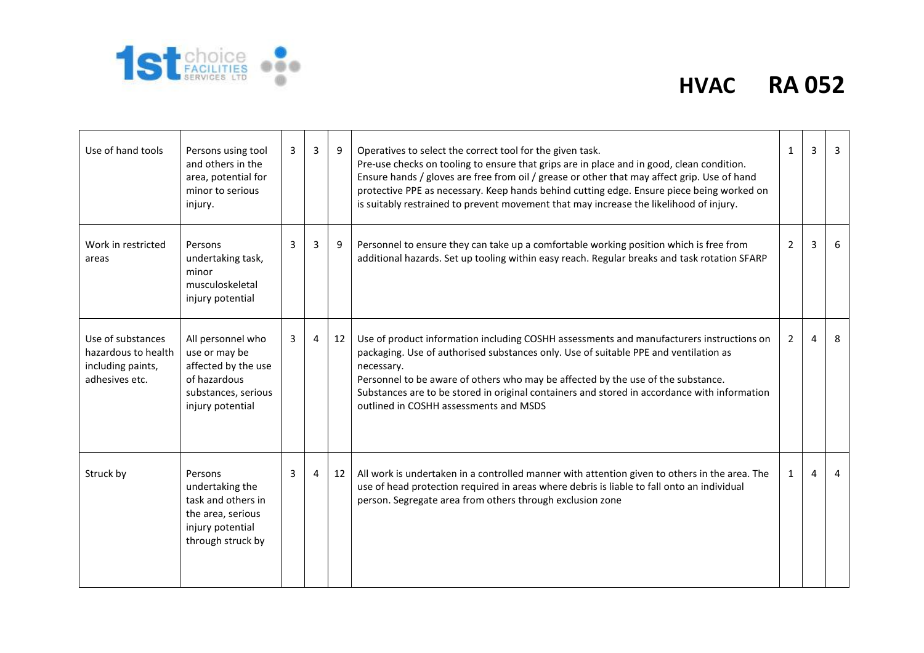

| Use of hand tools                                                               | Persons using tool<br>and others in the<br>area, potential for<br>minor to serious<br>injury.                        | $\mathbf{3}$ | 3              | 9  | Operatives to select the correct tool for the given task.<br>Pre-use checks on tooling to ensure that grips are in place and in good, clean condition.<br>Ensure hands / gloves are free from oil / grease or other that may affect grip. Use of hand<br>protective PPE as necessary. Keep hands behind cutting edge. Ensure piece being worked on<br>is suitably restrained to prevent movement that may increase the likelihood of injury. | $\mathbf{1}$   | 3              | $\overline{3}$ |
|---------------------------------------------------------------------------------|----------------------------------------------------------------------------------------------------------------------|--------------|----------------|----|----------------------------------------------------------------------------------------------------------------------------------------------------------------------------------------------------------------------------------------------------------------------------------------------------------------------------------------------------------------------------------------------------------------------------------------------|----------------|----------------|----------------|
| Work in restricted<br>areas                                                     | Persons<br>undertaking task,<br>minor<br>musculoskeletal<br>injury potential                                         | 3            | 3              | 9  | Personnel to ensure they can take up a comfortable working position which is free from<br>additional hazards. Set up tooling within easy reach. Regular breaks and task rotation SFARP                                                                                                                                                                                                                                                       | $\overline{2}$ | 3              | 6              |
| Use of substances<br>hazardous to health<br>including paints,<br>adhesives etc. | All personnel who<br>use or may be<br>affected by the use<br>of hazardous<br>substances, serious<br>injury potential | 3            | $\overline{4}$ | 12 | Use of product information including COSHH assessments and manufacturers instructions on<br>packaging. Use of authorised substances only. Use of suitable PPE and ventilation as<br>necessary.<br>Personnel to be aware of others who may be affected by the use of the substance.<br>Substances are to be stored in original containers and stored in accordance with information<br>outlined in COSHH assessments and MSDS                 | $\overline{2}$ | $\overline{4}$ | 8              |
| Struck by                                                                       | Persons<br>undertaking the<br>task and others in<br>the area, serious<br>injury potential<br>through struck by       | 3            | 4              | 12 | All work is undertaken in a controlled manner with attention given to others in the area. The<br>use of head protection required in areas where debris is liable to fall onto an individual<br>person. Segregate area from others through exclusion zone                                                                                                                                                                                     | 1              | 4              | 4              |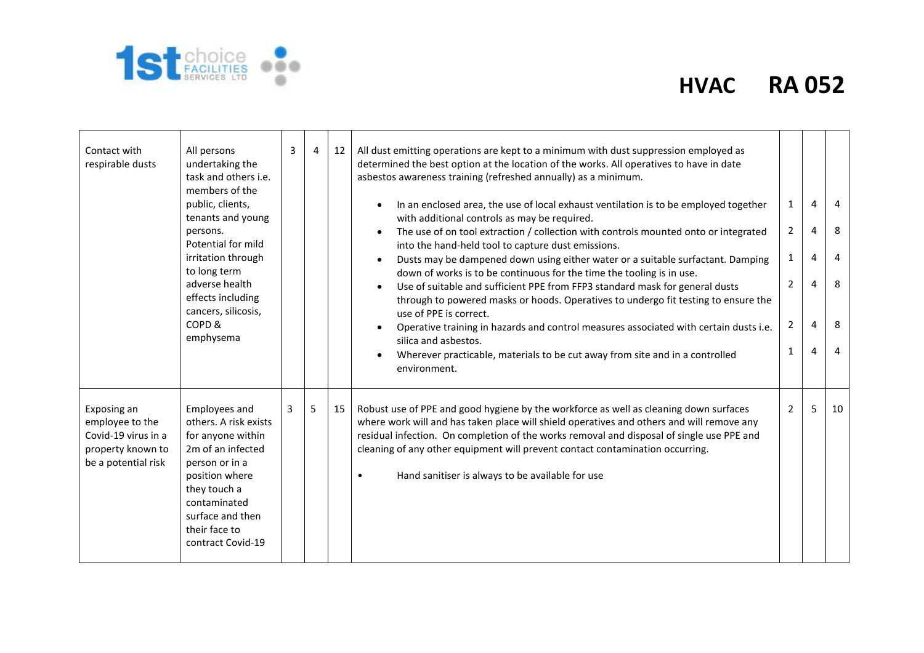

| Contact with<br>respirable dusts                                                                  | All persons<br>undertaking the<br>task and others i.e.<br>members of the<br>public, clients,<br>tenants and young<br>persons.<br>Potential for mild<br>irritation through<br>to long term<br>adverse health<br>effects including<br>cancers, silicosis,<br>COPD <sub>&amp;</sub><br>emphysema | 3 | 4 | 12 | All dust emitting operations are kept to a minimum with dust suppression employed as<br>determined the best option at the location of the works. All operatives to have in date<br>asbestos awareness training (refreshed annually) as a minimum.<br>In an enclosed area, the use of local exhaust ventilation is to be employed together<br>with additional controls as may be required.<br>The use of on tool extraction / collection with controls mounted onto or integrated<br>into the hand-held tool to capture dust emissions.<br>Dusts may be dampened down using either water or a suitable surfactant. Damping<br>down of works is to be continuous for the time the tooling is in use.<br>Use of suitable and sufficient PPE from FFP3 standard mask for general dusts<br>through to powered masks or hoods. Operatives to undergo fit testing to ensure the<br>use of PPE is correct.<br>Operative training in hazards and control measures associated with certain dusts i.e.<br>silica and asbestos.<br>Wherever practicable, materials to be cut away from site and in a controlled<br>environment. | 1<br>$\overline{2}$<br>1<br>$\overline{2}$<br>$\overline{2}$<br>1 | 4<br>4<br>4<br>4<br>4<br>4 | 4<br>8<br>4<br>8<br>8<br>$\overline{4}$ |
|---------------------------------------------------------------------------------------------------|-----------------------------------------------------------------------------------------------------------------------------------------------------------------------------------------------------------------------------------------------------------------------------------------------|---|---|----|---------------------------------------------------------------------------------------------------------------------------------------------------------------------------------------------------------------------------------------------------------------------------------------------------------------------------------------------------------------------------------------------------------------------------------------------------------------------------------------------------------------------------------------------------------------------------------------------------------------------------------------------------------------------------------------------------------------------------------------------------------------------------------------------------------------------------------------------------------------------------------------------------------------------------------------------------------------------------------------------------------------------------------------------------------------------------------------------------------------------|-------------------------------------------------------------------|----------------------------|-----------------------------------------|
| Exposing an<br>employee to the<br>Covid-19 virus in a<br>property known to<br>be a potential risk | Employees and<br>others. A risk exists<br>for anyone within<br>2m of an infected<br>person or in a<br>position where<br>they touch a<br>contaminated<br>surface and then<br>their face to<br>contract Covid-19                                                                                | 3 | 5 | 15 | Robust use of PPE and good hygiene by the workforce as well as cleaning down surfaces<br>where work will and has taken place will shield operatives and others and will remove any<br>residual infection. On completion of the works removal and disposal of single use PPE and<br>cleaning of any other equipment will prevent contact contamination occurring.<br>Hand sanitiser is always to be available for use<br>$\bullet$                                                                                                                                                                                                                                                                                                                                                                                                                                                                                                                                                                                                                                                                                   | $\overline{2}$                                                    | 5                          | 10                                      |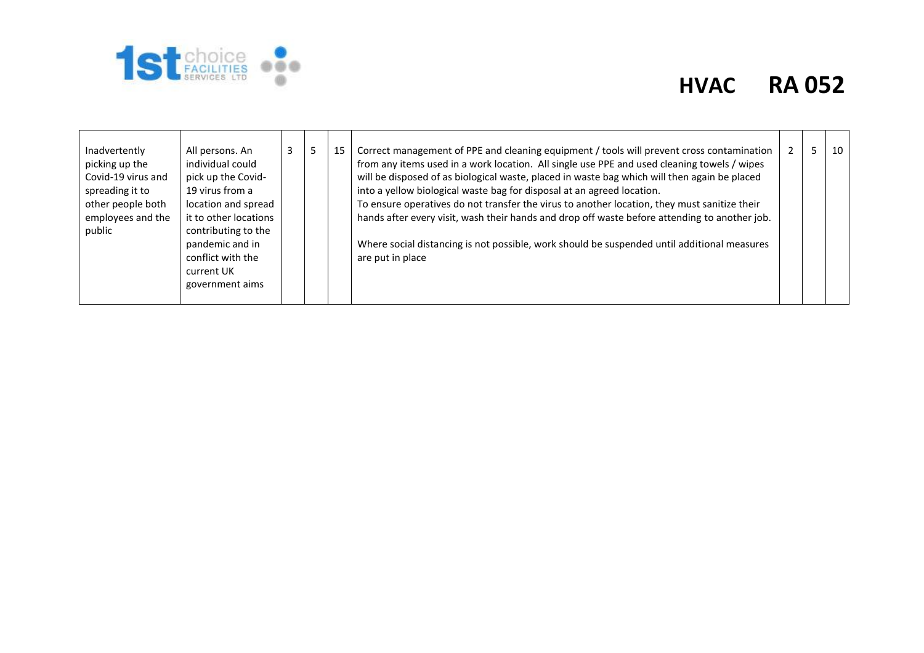

| Inadvertently<br>picking up the<br>Covid-19 virus and<br>spreading it to<br>other people both<br>employees and the<br>public | All persons. An<br>individual could<br>pick up the Covid-<br>19 virus from a<br>location and spread<br>it to other locations<br>contributing to the<br>pandemic and in<br>conflict with the<br>current UK<br>government aims |  | כ | 15 | Correct management of PPE and cleaning equipment / tools will prevent cross contamination<br>from any items used in a work location. All single use PPE and used cleaning towels / wipes<br>will be disposed of as biological waste, placed in waste bag which will then again be placed<br>into a yellow biological waste bag for disposal at an agreed location.<br>To ensure operatives do not transfer the virus to another location, they must sanitize their<br>hands after every visit, wash their hands and drop off waste before attending to another job.<br>Where social distancing is not possible, work should be suspended until additional measures<br>are put in place |  |  | 10 |
|------------------------------------------------------------------------------------------------------------------------------|------------------------------------------------------------------------------------------------------------------------------------------------------------------------------------------------------------------------------|--|---|----|----------------------------------------------------------------------------------------------------------------------------------------------------------------------------------------------------------------------------------------------------------------------------------------------------------------------------------------------------------------------------------------------------------------------------------------------------------------------------------------------------------------------------------------------------------------------------------------------------------------------------------------------------------------------------------------|--|--|----|
|------------------------------------------------------------------------------------------------------------------------------|------------------------------------------------------------------------------------------------------------------------------------------------------------------------------------------------------------------------------|--|---|----|----------------------------------------------------------------------------------------------------------------------------------------------------------------------------------------------------------------------------------------------------------------------------------------------------------------------------------------------------------------------------------------------------------------------------------------------------------------------------------------------------------------------------------------------------------------------------------------------------------------------------------------------------------------------------------------|--|--|----|